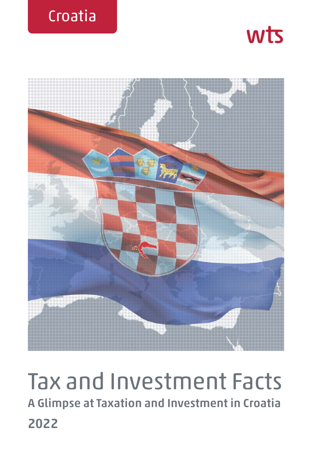





# Tax and Investment Facts **A Glimpse at Taxation and Investment in Croatia 2022**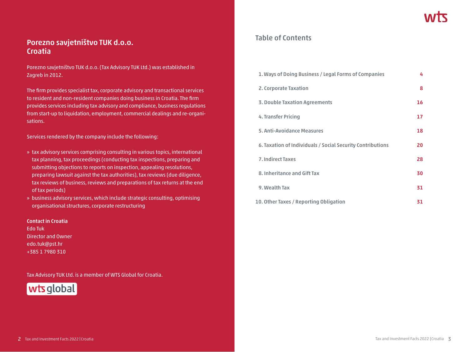# **Porezno savjetništvo TUK d.o.o. Croatia**

Porezno savjetništvo TUK d.o.o. (Tax Advisory TUK Ltd.) was established in Zagreb in 2012.

The firm provides specialist tax, corporate advisory and transactional services to resident and non-resident companies doing business in Croatia. The firm provides services including tax advisory and compliance, business regulations from start-up to liquidation, employment, commercial dealings and re-organisations.

Services rendered by the company include the following:

- » tax advisory services comprising consulting in various topics, international tax planning, tax proceedings (conducting tax inspections, preparing and submitting objections to reports on inspection, appealing resolutions, preparing lawsuit against the tax authorities), tax reviews (due diligence, tax reviews of business, reviews and preparations of tax returns at the end of tax periods)
- » business advisory services, which include strategic consulting, optimising organisational structures, corporate restructuring

#### **Contact in Croatia**

Edo Tuk Director and Owner edo.tuk@pst.hr +385 1 7980 310

Tax Advisory TUK Ltd. is a member of WTS Global for Croatia.



# **Table of Contents**

| 1. Ways of Doing Business / Legal Forms of Companies       | 4  |
|------------------------------------------------------------|----|
| 2. Corporate Taxation                                      | 8  |
| 3. Double Taxation Agreements                              | 16 |
| 4. Transfer Pricing                                        | 17 |
| 5. Anti-Avoidance Measures                                 | 18 |
| 6. Taxation of Individuals / Social Security Contributions | 20 |
| <b>7. Indirect Taxes</b>                                   | 28 |
| 8. Inheritance and Gift Tax                                | 30 |
| 9. Wealth Tax                                              | 31 |
| 10. Other Taxes / Reporting Obligation                     | 31 |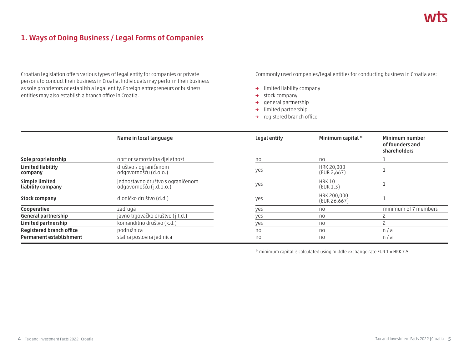# **1. Ways of Doing Business / Legal Forms of Companies**

Croatian legislation offers various types of legal entity for companies or private persons to conduct their business in Croatia. Individuals may perform their business as sole proprietors or establish a legal entity. Foreign entrepreneurs or business entities may also establish a branch office in Croatia.

Commonly used companies/legal entities for conducting business in Croatia are:

- **→** limited liability company
- **→** stock company
- **→** general partnership
- **→** limited partnership
- **→** registered branch office

|                                     | Name in local language                                       | Legal entity   | Minimum capital *           | Minimum number<br>of founders and<br><b>shareholders</b> |
|-------------------------------------|--------------------------------------------------------------|----------------|-----------------------------|----------------------------------------------------------|
| Sole proprietorship                 | obrt or samostalna djelatnost                                | no             | no                          |                                                          |
| <b>Limited liability</b><br>company | društvo s ograničenom<br>odgovornošću (d.o.o.)               | yes            | HRK 20,000<br>(EUR 2, 667)  |                                                          |
| Simple limited<br>liability company | jednostavno društvo s ograničenom<br>odgovornošću (j.d.o.o.) | yes            | <b>HRK 10</b><br>(EUR 1.3)  |                                                          |
| <b>Stock company</b>                | dioničko društvo (d.d.)                                      | yes            | HRK 200,000<br>(EUR 26,667) |                                                          |
| Cooperative                         | zadruga                                                      | yes            | no                          | minimum of 7 members                                     |
| <b>General partnership</b>          | javno trgovačko društvo (j.t.d.)                             | yes            | $\overline{D}$              |                                                          |
| Limited partnership                 | komanditno društvo (k.d.)                                    | yes            | no                          |                                                          |
| <b>Registered branch office</b>     | podružnica                                                   | no             | no                          | n/a                                                      |
| Permanent establishment             | stalna poslovna jedinica                                     | n <sub>0</sub> | no.                         | n/a                                                      |

\* minimum capital is calculated using middle exchange rate EUR 1 = HRK 7.5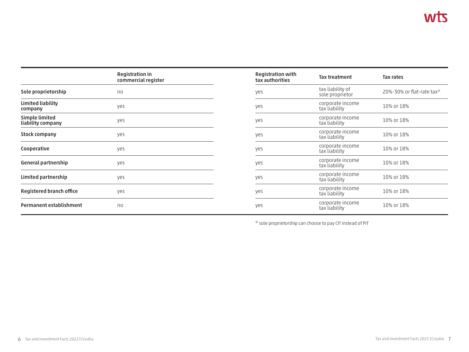|                                     | <b>Registration in</b><br>commercial register | <b>Registration with</b><br>tax authorities | <b>Tax treatment</b>                | Tax rates                 |
|-------------------------------------|-----------------------------------------------|---------------------------------------------|-------------------------------------|---------------------------|
| Sole proprietorship                 | no                                            | yes                                         | tax liability of<br>sole proprietor | 20%-30% or flat-rate tax* |
| Limited liability<br>company        | yes                                           | yes                                         | corporate income<br>tax liability   | 10% or 18%                |
| Simple limited<br>liability company | yes                                           | yes                                         | corporate income<br>tax liability   | 10% or 18%                |
| <b>Stock company</b>                | yes                                           | yes                                         | corporate income<br>tax liability   | 10% or 18%                |
| Cooperative                         | yes                                           | yes                                         | corporate income<br>tax liability   | 10% or 18%                |
| <b>General partnership</b>          | yes                                           | yes                                         | corporate income<br>tax liability   | 10% or 18%                |
| Limited partnership                 | yes                                           | yes                                         | corporate income<br>tax liability   | 10% or 18%                |
| <b>Registered branch office</b>     | yes                                           | yes                                         | corporate income<br>tax liability   | 10% or 18%                |
| Permanent establishment             | $\overline{D}$                                | yes                                         | corporate income<br>tax liability   | 10% or 18%                |

\* sole proprietorship can choose to pay CIT instead of PIT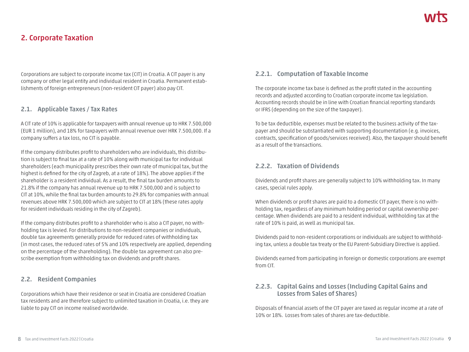# **2. Corporate Taxation**

Corporations are subject to corporate income tax (CIT) in Croatia. A CIT payer is any company or other legal entity and individual resident in Croatia. Permanent establishments of foreign entrepreneurs (non-resident CIT payer) also pay CIT.

# **2.1. Applicable Taxes / Tax Rates**

A CIT rate of 10% is applicable for taxpayers with annual revenue up to HRK 7.500,000 (EUR 1 million), and 18% for taxpayers with annual revenue over HRK 7.500,000. If a company suffers a tax loss, no CIT is payable.

If the company distributes profit to shareholders who are individuals, this distribution is subject to final tax at a rate of 10% along with municipal tax for individual shareholders (each municipality prescribes their own rate of municipal tax, but the highest is defined for the city of Zagreb, at a rate of 18%). The above applies if the shareholder is a resident individual. As a result, the final tax burden amounts to 21.8% if the company has annual revenue up to HRK 7.500,000 and is subject to CIT at 10%, while the final tax burden amounts to 29.8% for companies with annual revenues above HRK 7.500,000 which are subject to CIT at 18% (these rates apply for resident individuals residing in the city of Zagreb).

If the company distributes profit to a shareholder who is also a CIT payer, no withholding tax is levied. For distributions to non-resident companies or individuals, double tax agreements generally provide for reduced rates of withholding tax (in most cases, the reduced rates of 5% and 10% respectively are applied, depending on the percentage of the shareholding). The double tax agreement can also prescribe exemption from withholding tax on dividends and profit shares.

# **2.2. Resident Companies**

Corporations which have their residence or seat in Croatia are considered Croatian tax residents and are therefore subject to unlimited taxation in Croatia, i.e. they are liable to pay CIT on income realised worldwide.

# **2.2.1. Computation of Taxable Income**

The corporate income tax base is defined as the profit stated in the accounting records and adjusted according to Croatian corporate income tax legislation. Accounting records should be in line with Croatian financial reporting standards or IFRS (depending on the size of the taxpayer).

To be tax deductible, expenses must be related to the business activity of the taxpayer and should be substantiated with supporting documentation (e.g. invoices, contracts, specification of goods/services received). Also, the taxpayer should benefit as a result of the transactions.

### **2.2.2. Taxation of Dividends**

Dividends and profit shares are generally subject to 10% withholding tax. In many cases, special rules apply.

When dividends or profit shares are paid to a domestic CIT payer, there is no withholding tax, regardless of any minimum holding period or capital ownership percentage. When dividends are paid to a resident individual, withholding tax at the rate of 10% is paid, as well as municipal tax.

Dividends paid to non-resident corporations or individuals are subject to withholding tax, unless a double tax treaty or the EU Parent-Subsidiary Directive is applied.

Dividends earned from participating in foreign or domestic corporations are exempt from CIT.

# **2.2.3. Capital Gains and Losses (Including Capital Gains and Losses from Sales of Shares)**

Disposals of financial assets of the CIT payer are taxed as regular income at a rate of 10% or 18%. Losses from sales of shares are tax-deductible.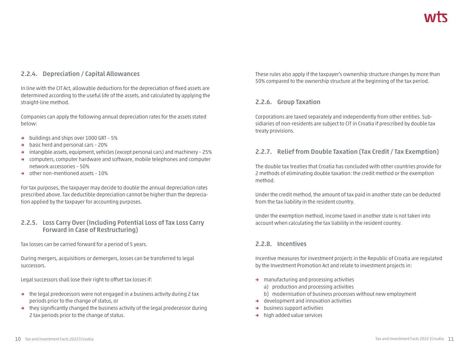# **2.2.4. Depreciation / Capital Allowances**

In line with the CIT Act, allowable deductions for the depreciation of fixed assets are determined according to the useful life of the assets, and calculated by applying the straight-line method.

Companies can apply the following annual depreciation rates for the assets stated below:

- **→** buildings and ships over 1000 GRT 5%
- **→** basic herd and personal cars 20%
- **→** intangible assets, equipment, vehicles (except personal cars) and machinery 25%
- **→** computers, computer hardware and software, mobile telephones and computer network accessories – 50%
- **→** other non-mentioned assets 10%

For tax purposes, the taxpayer may decide to double the annual depreciation rates prescribed above. Tax deductible depreciation cannot be higher than the depreciation applied by the taxpayer for accounting purposes.

# **2.2.5. Loss Carry Over (Including Potential Loss of Tax Loss Carry Forward in Case of Restructuring)**

Tax losses can be carried forward for a period of 5 years.

During mergers, acquisitions or demergers, losses can be transferred to legal successors.

Legal successors shall lose their right to offset tax losses if:

- **→** the legal predecessors were not engaged in a business activity during 2 tax periods prior to the change of status, or
- **→** they significantly changed the business activity of the legal predecessor during 2 tax periods prior to the change of status.

These rules also apply if the taxpayer's ownership structure changes by more than 50% compared to the ownership structure at the beginning of the tax period.

## **2.2.6. Group Taxation**

Corporations are taxed separately and independently from other entities. Subsidiaries of non-residents are subject to CIT in Croatia if prescribed by double tax treaty provisions.

# **2.2.7. Relief from Double Taxation (Tax Credit / Tax Exemption)**

The double tax treaties that Croatia has concluded with other countries provide for 2 methods of eliminating double taxation: the credit method or the exemption method.

Under the credit method, the amount of tax paid in another state can be deducted from the tax liability in the resident country.

Under the exemption method, income taxed in another state is not taken into account when calculating the tax liability in the resident country.

# **2.2.8. Incentives**

Incentive measures for investment projects in the Republic of Croatia are regulated by the Investment Promotion Act and relate to investment projects in:

- **→** manufacturing and processing activities
	- a) production and processing activities
	- b) modernisation of business processes without new employment
- **→** development and innovation activities
- **→** business support activities
- **→** high added value services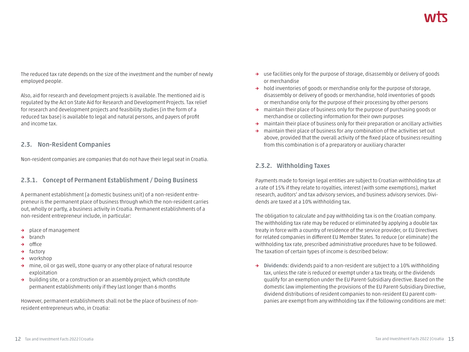The reduced tax rate depends on the size of the investment and the number of newly employed people.

Also, aid for research and development projects is available. The mentioned aid is regulated by the Act on State Aid for Research and Development Projects. Tax relief for research and development projects and feasibility studies (in the form of a reduced tax base) is available to legal and natural persons, and payers of profit and income tax.

# **2.3. Non-Resident Companies**

Non-resident companies are companies that do not have their legal seat in Croatia.

# **2.3.1. Concept of Permanent Establishment / Doing Business**

A permanent establishment (a domestic business unit) of a non-resident entrepreneur is the permanent place of business through which the non-resident carries out, wholly or partly, a business activity in Croatia. Permanent establishments of a non-resident entrepreneur include, in particular:

- **→** place of management
- **→** branch
- **→** office
- **→** factory
- **→** workshop
- **→** mine, oil or gas well, stone quarry or any other place of natural resource exploitation
- **→** building site, or a construction or an assembly project, which constitute permanent establishments only if they last longer than 6 months

However, permanent establishments shall not be the place of business of nonresident entrepreneurs who, in Croatia:

- **→** use facilities only for the purpose of storage, disassembly or delivery of goods or merchandise
- **→** hold inventories of goods or merchandise only for the purpose of storage, disassembly or delivery of goods or merchandise, hold inventories of goods or merchandise only for the purpose of their processing by other persons
- **→** maintain their place of business only for the purpose of purchasing goods or merchandise or collecting information for their own purposes
- **→** maintain their place of business only for their preparation or ancillary activities
- **→** maintain their place of business for any combination of the activities set out above, provided that the overall activity of the fixed place of business resulting from this combination is of a preparatory or auxiliary character

# **2.3.2. Withholding Taxes**

Payments made to foreign legal entities are subject to Croatian withholding tax at a rate of 15% if they relate to royalties, interest (with some exemptions), market research, auditors' and tax advisory services, and business advisory services. Dividends are taxed at a 10% withholding tax.

The obligation to calculate and pay withholding tax is on the Croatian company. The withholding tax rate may be reduced or eliminated by applying a double tax treaty in force with a country of residence of the service provider, or EU Directives for related companies in different EU Member States. To reduce (or eliminate) the withholding tax rate, prescribed administrative procedures have to be followed. The taxation of certain types of income is described below:

**→ Dividends**: dividends paid to a non-resident are subject to a 10% withholding tax, unless the rate is reduced or exempt under a tax treaty, or the dividends qualify for an exemption under the EU Parent-Subsidiary directive. Based on the domestic law implementing the provisions of the EU Parent-Subsidiary Directive, dividend distributions of resident companies to non-resident EU parent companies are exempt from any withholding tax if the following conditions are met: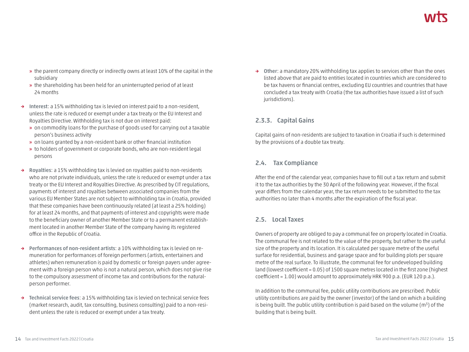- **»** the parent company directly or indirectly owns at least 10% of the capital in the subsidiary
- **»** the shareholding has been held for an uninterrupted period of at least 24 months
- **→ Interest**: a 15% withholding tax is levied on interest paid to a non-resident, unless the rate is reduced or exempt under a tax treaty or the EU Interest and Royalties Directive. Withholding tax is not due on interest paid:
	- **»** on commodity loans for the purchase of goods used for carrying out a taxable person's business activity
	- **»** on loans granted by a non-resident bank or other financial institution
	- **»** to holders of government or corporate bonds, who are non-resident legal persons
- **→ Royalties**: a 15% withholding tax is levied on royalties paid to non-residents who are not private individuals, unless the rate is reduced or exempt under a tax treaty or the EU Interest and Royalties Directive. As prescribed by CIT regulations, payments of interest and royalties between associated companies from the various EU Member States are not subject to withholding tax in Croatia, provided that these companies have been continuously related (at least a 25% holding) for at least 24 months, and that payments of interest and copyrights were made to the beneficiary owner of another Member State or to a permanent establishment located in another Member State of the company having its registered office in the Republic of Croatia.
- **→ Performances of non-resident artists**: a 10% withholding tax is levied on remuneration for performances of foreign performers (artists, entertainers and athletes) when remuneration is paid by domestic or foreign payers under agreement with a foreign person who is not a natural person, which does not give rise to the compulsory assessment of income tax and contributions for the naturalperson performer.
- **→ Technical service fees**: a 15% withholding tax is levied on technical service fees (market research, audit, tax consulting, business consulting) paid to a non-resident unless the rate is reduced or exempt under a tax treaty.

**→ Other**: a mandatory 20% withholding tax applies to services other than the ones listed above that are paid to entities located in countries which are considered to be tax havens or financial centres, excluding EU countries and countries that have concluded a tax treaty with Croatia (the tax authorities have issued a list of such jurisdictions).

# **2.3.3. Capital Gains**

Capital gains of non-residents are subject to taxation in Croatia if such is determined by the provisions of a double tax treaty.

# **2.4. Tax Compliance**

After the end of the calendar year, companies have to fill out a tax return and submit it to the tax authorities by the 30 April of the following year. However, if the fiscal year differs from the calendar year, the tax return needs to be submitted to the tax authorities no later than 4 months after the expiration of the fiscal year.

# **2.5. Local Taxes**

Owners of property are obliged to pay a communal fee on property located in Croatia. The communal fee is not related to the value of the property, but rather to the useful size of the property and its location. It is calculated per square metre of the useful surface for residential, business and garage space and for building plots per square metre of the real surface. To illustrate, the communal fee for undeveloped building land (lowest coefficient = 0.05) of 1500 square metres located in the first zone (highest coefficient = 1.00) would amount to approximately HRK 900 p.a. (EUR 120 p.a.).

In addition to the communal fee, public utility contributions are prescribed. Public utility contributions are paid by the owner (investor) of the land on which a building is being built. The public utility contribution is paid based on the volume  $(m^3)$  of the building that is being built.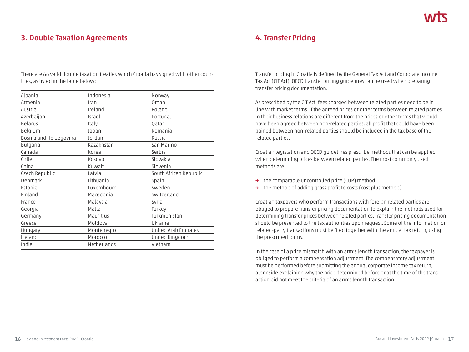# **3. Double Taxation Agreements**

There are 66 valid double taxation treaties which Croatia has signed with other countries, as listed in the table below:

| Albania                | Indonesia   | Norway                 |
|------------------------|-------------|------------------------|
| Armenia                | Iran        | Oman                   |
| Austria                | Ireland     | Poland                 |
| Azerbaijan             | Israel      | Portugal               |
| Belarus                | Italy       | Qatar                  |
| Belgium                | Japan       | Romania                |
| Bosnia and Herzegovina | Jordan      | Russia                 |
| Bulgaria               | Kazakhstan  | San Marino             |
| Canada                 | Korea       | Serbia                 |
| Chile                  | Kosovo      | Slovakia               |
| China                  | Kuwait      | Slovenia               |
| Czech Republic         | Latvia      | South African Republic |
| Denmark                | Lithuania   | Spain                  |
| Estonia                | Luxembourg  | Sweden                 |
| Finland                | Macedonia   | Switzerland            |
| France                 | Malaysia    | Syria                  |
| Georgia                | Malta       | Turkey                 |
| Germany                | Mauritius   | Turkmenistan           |
| Greece                 | Moldova     | Ukraine                |
| Hungary                | Montenegro  | United Arab Emirates   |
| Iceland                | Morocco     | United Kingdom         |
| India                  | Netherlands | Vietnam                |

# **4. Transfer Pricing**

Transfer pricing in Croatia is defined by the General Tax Act and Corporate Income Tax Act (CIT Act). OECD transfer pricing guidelines can be used when preparing transfer pricing documentation.

As prescribed by the CIT Act, fees charged between related parties need to be in line with market terms. If the agreed prices or other terms between related parties in their business relations are different from the prices or other terms that would have been agreed between non-related parties, all profit that could have been gained between non-related parties should be included in the tax base of the related parties.

Croatian legislation and OECD guidelines prescribe methods that can be applied when determining prices between related parties. The most commonly used methods are:

- **→** the comparable uncontrolled price (CUP) method
- **→** the method of adding gross profit to costs (cost plus method)

Croatian taxpayers who perform transactions with foreign related parties are obliged to prepare transfer pricing documentation to explain the methods used for determining transfer prices between related parties. Transfer pricing documentation should be presented to the tax authorities upon request. Some of the information on related-party transactions must be filed together with the annual tax return, using the prescribed forms.

In the case of a price mismatch with an arm's length transaction, the taxpayer is obliged to perform a compensation adjustment. The compensatory adjustment must be performed before submitting the annual corporate income tax return, alongside explaining why the price determined before or at the time of the transaction did not meet the criteria of an arm's length transaction.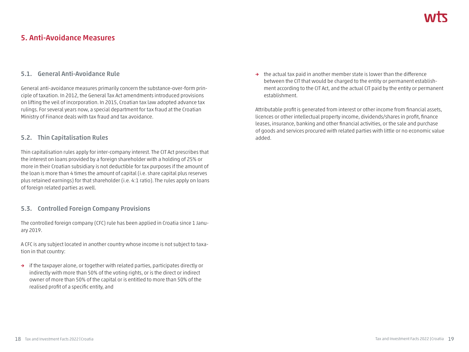# **5. Anti-Avoidance Measures**

# **5.1. General Anti-Avoidance Rule**

General anti-avoidance measures primarily concern the substance-over-form principle of taxation. In 2012, the General Tax Act amendments introduced provisions on lifting the veil of incorporation. In 2015, Croatian tax law adopted advance tax rulings. For several years now, a special department for tax fraud at the Croatian Ministry of Finance deals with tax fraud and tax avoidance.

# **5.2. Thin Capitalisation Rules**

Thin capitalisation rules apply for inter-company interest. The CIT Act prescribes that the interest on loans provided by a foreign shareholder with a holding of 25% or more in their Croatian subsidiary is not deductible for tax purposes if the amount of the loan is more than 4 times the amount of capital (i.e. share capital plus reserves plus retained earnings) for that shareholder (i.e. 4:1 ratio). The rules apply on loans of foreign related parties as well.

# **5.3. Controlled Foreign Company Provisions**

The controlled foreign company (CFC) rule has been applied in Croatia since 1 January 2019.

A CFC is any subject located in another country whose income is not subject to taxation in that country:

**→** if the taxpayer alone, or together with related parties, participates directly or indirectly with more than 50% of the voting rights, or is the direct or indirect owner of more than 50% of the capital or is entitled to more than 50% of the realised profit of a specific entity, and

**→** the actual tax paid in another member state is lower than the difference between the CIT that would be charged to the entity or permanent establishment according to the CIT Act, and the actual CIT paid by the entity or permanent establishment.

Attributable profit is generated from interest or other income from financial assets, licences or other intellectual property income, dividends/shares in profit, finance leases, insurance, banking and other financial activities, or the sale and purchase of goods and services procured with related parties with little or no economic value added.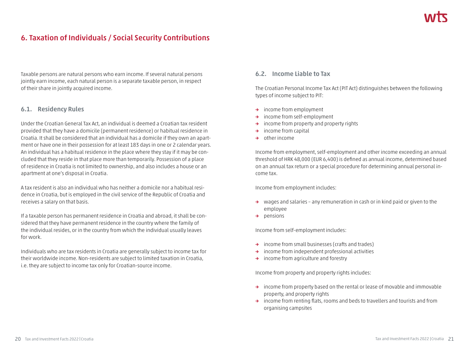# **6. Taxation of Individuals / Social Security Contributions**

Taxable persons are natural persons who earn income. If several natural persons jointly earn income, each natural person is a separate taxable person, in respect of their share in jointly acquired income.

## **6.1. Residency Rules**

Under the Croatian General Tax Act, an individual is deemed a Croatian tax resident provided that they have a domicile (permanent residence) or habitual residence in Croatia. It shall be considered that an individual has a domicile if they own an apartment or have one in their possession for at least 183 days in one or 2 calendar years. An individual has a habitual residence in the place where they stay if it may be concluded that they reside in that place more than temporarily. Possession of a place of residence in Croatia is not limited to ownership, and also includes a house or an apartment at one's disposal in Croatia.

A tax resident is also an individual who has neither a domicile nor a habitual residence in Croatia, but is employed in the civil service of the Republic of Croatia and receives a salary on that basis.

If a taxable person has permanent residence in Croatia and abroad, it shall be considered that they have permanent residence in the country where the family of the individual resides, or in the country from which the individual usually leaves for work.

Individuals who are tax residents in Croatia are generally subject to income tax for their worldwide income. Non-residents are subject to limited taxation in Croatia, i.e. they are subject to income tax only for Croatian-source income.

## **6.2. Income Liable to Tax**

The Croatian Personal Income Tax Act (PIT Act) distinguishes between the following types of income subject to PIT:

- **→** income from employment
- **→** income from self-employment
- **→** income from property and property rights
- **→** income from capital
- **→** other income

Income from employment, self-employment and other income exceeding an annual threshold of HRK 48,000 (EUR 6,400) is defined as annual income, determined based on an annual tax return or a special procedure for determining annual personal income tax.

Income from employment includes:

- **→** wages and salaries any remuneration in cash or in kind paid or given to the employee
- **→** pensions

Income from self-employment includes:

- **→** income from small businesses (crafts and trades)
- **→** income from independent professional activities
- **→** income from agriculture and forestry

Income from property and property rights includes:

- **→** income from property based on the rental or lease of movable and immovable property, and property rights
- **→** income from renting flats, rooms and beds to travellers and tourists and from organising campsites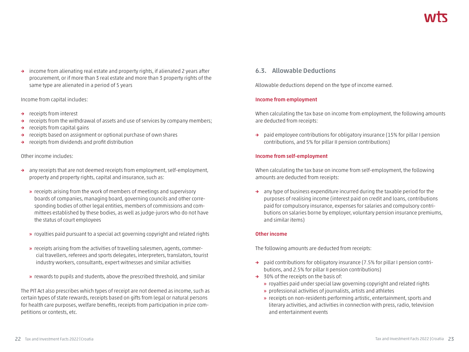**→** income from alienating real estate and property rights, if alienated 2 years after procurement, or if more than 3 real estate and more than 3 property rights of the same type are alienated in a period of 5 years

Income from capital includes:

- **→** receipts from interest
- **→** receipts from the withdrawal of assets and use of services by company members;
- **→** receipts from capital gains
- **→** receipts based on assignment or optional purchase of own shares
- **→** receipts from dividends and profit distribution

#### Other income includes:

- **→** any receipts that are not deemed receipts from employment, self-employment, property and property rights, capital and insurance, such as:
	- **»** receipts arising from the work of members of meetings and supervisory boards of companies, managing board, governing councils and other corresponding bodies of other legal entities, members of commissions and committees established by these bodies, as well as judge-jurors who do not have the status of court employees
	- **»** royalties paid pursuant to a special act governing copyright and related rights
	- **»** receipts arising from the activities of travelling salesmen, agents, commercial travellers, referees and sports delegates, interpreters, translators, tourist industry workers, consultants, expert witnesses and similar activities
	- **»** rewards to pupils and students, above the prescribed threshold, and similar

The PIT Act also prescribes which types of receipt are not deemed as income, such as certain types of state rewards, receipts based on gifts from legal or natural persons for health care purposes, welfare benefits, receipts from participation in prize competitions or contests, etc.

# **6.3. Allowable Deductions**

Allowable deductions depend on the type of income earned.

#### **Income from employment**

When calculating the tax base on income from employment, the following amounts are deducted from receipts:

**→** paid employee contributions for obligatory insurance (15% for pillar I pension contributions, and 5% for pillar II pension contributions)

#### **Income from self-employment**

When calculating the tax base on income from self-employment, the following amounts are deducted from receipts:

**→** any type of business expenditure incurred during the taxable period for the purposes of realising income (interest paid on credit and loans, contributions paid for compulsory insurance, expenses for salaries and compulsory contributions on salaries borne by employer, voluntary pension insurance premiums, and similar items)

#### **Other income**

The following amounts are deducted from receipts:

- **→** paid contributions for obligatory insurance (7.5% for pillar I pension contributions, and 2.5% for pillar II pension contributions)
- **→** 30% of the receipts on the basis of:
	- **»** royalties paid under special law governing copyright and related rights
	- **»** professional activities of journalists, artists and athletes
	- **»** receipts on non-residents performing artistic, entertainment, sports and literary activities, and activities in connection with press, radio, television and entertainment events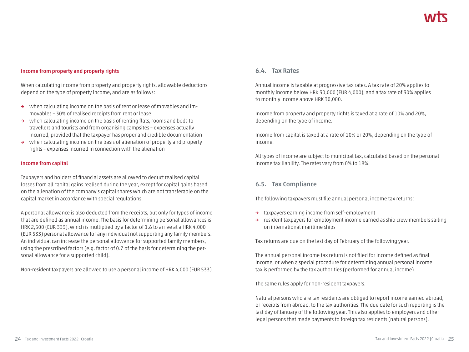#### **Income from property and property rights**

When calculating income from property and property rights, allowable deductions depend on the type of property income, and are as follows:

- **→** when calculating income on the basis of rent or lease of movables and immovables – 30% of realised receipts from rent or lease
- **→** when calculating income on the basis of renting flats, rooms and beds to travellers and tourists and from organising campsites – expenses actually incurred, provided that the taxpayer has proper and credible documentation
- **→** when calculating income on the basis of alienation of property and property rights – expenses incurred in connection with the alienation

#### **Income from capital**

Taxpayers and holders of financial assets are allowed to deduct realised capital losses from all capital gains realised during the year, except for capital gains based on the alienation of the company's capital shares which are not transferable on the capital market in accordance with special regulations.

A personal allowance is also deducted from the receipts, but only for types of income that are defined as annual income. The basis for determining personal allowances is HRK 2,500 (EUR 333), which is multiplied by a factor of 1.6 to arrive at a HRK 4,000 (EUR 533) personal allowance for any individual not supporting any family members. An individual can increase the personal allowance for supported family members, using the prescribed factors (e.g. factor of 0.7 of the basis for determining the personal allowance for a supported child).

Non-resident taxpayers are allowed to use a personal income of HRK 4,000 (EUR 533).

## **6.4. Tax Rates**

Annual income is taxable at progressive tax rates. A tax rate of 20% applies to monthly income below HRK 30,000 (EUR 4,000), and a tax rate of 30% applies to monthly income above HRK 30,000.

Income from property and property rights is taxed at a rate of 10% and 20%, depending on the type of income.

Income from capital is taxed at a rate of 10% or 20%, depending on the type of income.

All types of income are subject to municipal tax, calculated based on the personal income tax liability. The rates vary from 0% to 18%.

## **6.5. Tax Compliance**

The following taxpayers must file annual personal income tax returns:

- **→** taxpayers earning income from self-employment
- **→** resident taxpayers for employment income earned as ship crew members sailing on international maritime ships

Tax returns are due on the last day of February of the following year.

The annual personal income tax return is not filed for income defined as final income, or when a special procedure for determining annual personal income tax is performed by the tax authorities (performed for annual income).

The same rules apply for non-resident taxpayers.

Natural persons who are tax residents are obliged to report income earned abroad, or receipts from abroad, to the tax authorities. The due date for such reporting is the last day of January of the following year. This also applies to employers and other legal persons that made payments to foreign tax residents (natural persons).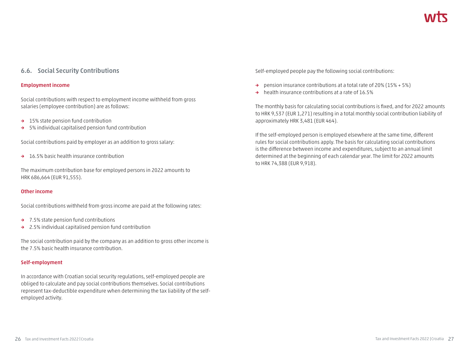# **6.6. Social Security Contributions**

#### **Employment income**

Social contributions with respect to employment income withheld from gross salaries (employee contribution) are as follows:

- **→** 15% state pension fund contribution
- **→** 5% individual capitalised pension fund contribution

Social contributions paid by employer as an addition to gross salary:

**→** 16.5% basic health insurance contribution

The maximum contribution base for employed persons in 2022 amounts to HRK 686,664 (EUR 91,555).

#### **Other income**

Social contributions withheld from gross income are paid at the following rates:

- **→** 7.5% state pension fund contributions
- **→** 2.5% individual capitalised pension fund contribution

The social contribution paid by the company as an addition to gross other income is the 7.5% basic health insurance contribution.

#### **Self-employment**

In accordance with Croatian social security regulations, self-employed people are obliged to calculate and pay social contributions themselves. Social contributions represent tax-deductible expenditure when determining the tax liability of the selfemployed activity.

Self-employed people pay the following social contributions:

- **→** pension insurance contributions at a total rate of 20% (15% + 5%)
- **→** health insurance contributions at a rate of 16.5%

The monthly basis for calculating social contributions is fixed, and for 2022 amounts to HRK 9,537 (EUR 1,271) resulting in a total monthly social contribution liability of approximately HRK 3,481 (EUR 464).

If the self-employed person is employed elsewhere at the same time, different rules for social contributions apply. The basis for calculating social contributions is the difference between income and expenditures, subject to an annual limit determined at the beginning of each calendar year. The limit for 2022 amounts to HRK 74,388 (EUR 9,918).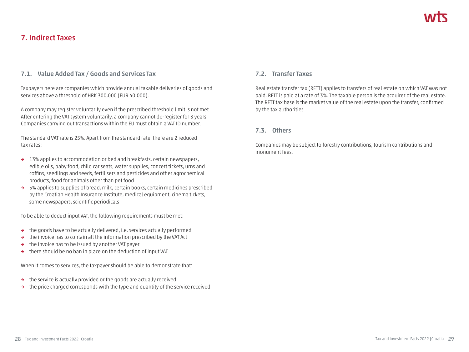# **7. Indirect Taxes**

# **7.1. Value Added Tax / Goods and Services Tax**

Taxpayers here are companies which provide annual taxable deliveries of goods and services above a threshold of HRK 300,000 (EUR 40,000).

A company may register voluntarily even if the prescribed threshold limit is not met. After entering the VAT system voluntarily, a company cannot de-register for 3 years. Companies carrying out transactions within the EU must obtain a VAT ID number.

The standard VAT rate is 25%. Apart from the standard rate, there are 2 reduced tax rates:

- **→** 13% applies to accommodation or bed and breakfasts, certain newspapers, edible oils, baby food, child car seats, water supplies, concert tickets, urns and coffins, seedlings and seeds, fertilisers and pesticides and other agrochemical products, food for animals other than pet food
- **→** 5% applies to supplies of bread, milk, certain books, certain medicines prescribed by the Croatian Health Insurance Institute, medical equipment, cinema tickets, some newspapers, scientific periodicals

To be able to deduct input VAT, the following requirements must be met:

- **→** the goods have to be actually delivered, i.e. services actually performed
- **→** the invoice has to contain all the information prescribed by the VAT Act
- **→** the invoice has to be issued by another VAT payer
- **→** there should be no ban in place on the deduction of input VAT

When it comes to services, the taxpayer should be able to demonstrate that:

- **→** the service is actually provided or the goods are actually received,
- **→** the price charged corresponds with the type and quantity of the service received

# **7.2. Transfer Taxes**

Real estate transfer tax (RETT) applies to transfers of real estate on which VAT was not paid. RETT is paid at a rate of 3%. The taxable person is the acquirer of the real estate. The RETT tax base is the market value of the real estate upon the transfer, confirmed by the tax authorities.

## **7.3. Others**

Companies may be subject to forestry contributions, tourism contributions and monument fees.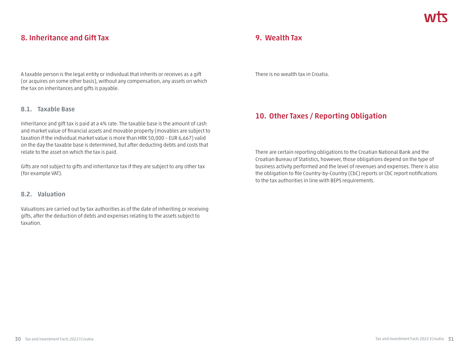# **8. Inheritance and Gift Tax**

A taxable person is the legal entity or individual that inherits or receives as a gift (or acquires on some other basis), without any compensation, any assets on which the tax on inheritances and gifts is payable.

## **8.1. Taxable Base**

Inheritance and gift tax is paid at a 4% rate. The taxable base is the amount of cash and market value of financial assets and movable property (movables are subject to taxation if the individual market value is more than HRK 50,000 – EUR 6,667) valid on the day the taxable base is determined, but after deducting debts and costs that relate to the asset on which the tax is paid.

Gifts are not subject to gifts and inheritance tax if they are subject to any other tax (for example VAT).

## **8.2. Valuation**

Valuations are carried out by tax authorities as of the date of inheriting or receiving gifts, after the deduction of debts and expenses relating to the assets subject to taxation.

# **9. Wealth Tax**

There is no wealth tax in Croatia.

# **10. Other Taxes / Reporting Obligation**

There are certain reporting obligations to the Croatian National Bank and the Croatian Bureau of Statistics, however, those obligations depend on the type of business activity performed and the level of revenues and expenses. There is also the obligation to file Country-by-Country (CbC) reports or CbC report notifications to the tax authorities in line with BEPS requirements.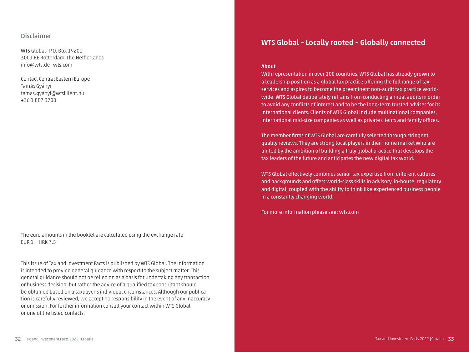### **Disclaimer**

WTS Global P.O. Box 19201 3001 BE Rotterdam The Netherlands info@wts.de wts.com

Contact Central Eastern Europe Tamás Gyányi tamas.gyanyi@wtsklient.hu +36 1 887 3700

The euro amounts in the booklet are calculated using the exchange rate  $EUR 1 = HRK 7.5$ 

This issue of Tax and Investment Facts is published by WTS Global. The information is intended to provide general guidance with respect to the subject matter. This general guidance should not be relied on as a basis for undertaking any transaction or business decision, but rather the advice of a qualified tax consultant should be obtained based on a taxpayer's individual circumstances. Although our publication is carefully reviewed, we accept no responsibility in the event of any inaccuracy or omission. For further information consult your contact within WTS Global or one of the listed contacts.

# **WTS Global – Locally rooted – Globally connected**

#### **About**

With representation in over 100 countries, WTS Global has already grown to a leadership position as a global tax practice offering the full range of tax services and aspires to become the preeminent non-audit tax practice worldwide. WTS Global deliberately refrains from conducting annual audits in order to avoid any conflicts of interest and to be the long-term trusted adviser for its international clients. Clients of WTS Global include multinational companies, international mid-size companies as well as private clients and family offices.

The member firms of WTS Global are carefully selected through stringent quality reviews. They are strong local players in their home market who are united by the ambition of building a truly global practice that develops the tax leaders of the future and anticipates the new digital tax world.

WTS Global effectively combines senior tax expertise from different cultures and backgrounds and offers world-class skills in advisory, in-house, regulatory and digital, coupled with the ability to think like experienced business people in a constantly changing world.

For more information please see: wts.com